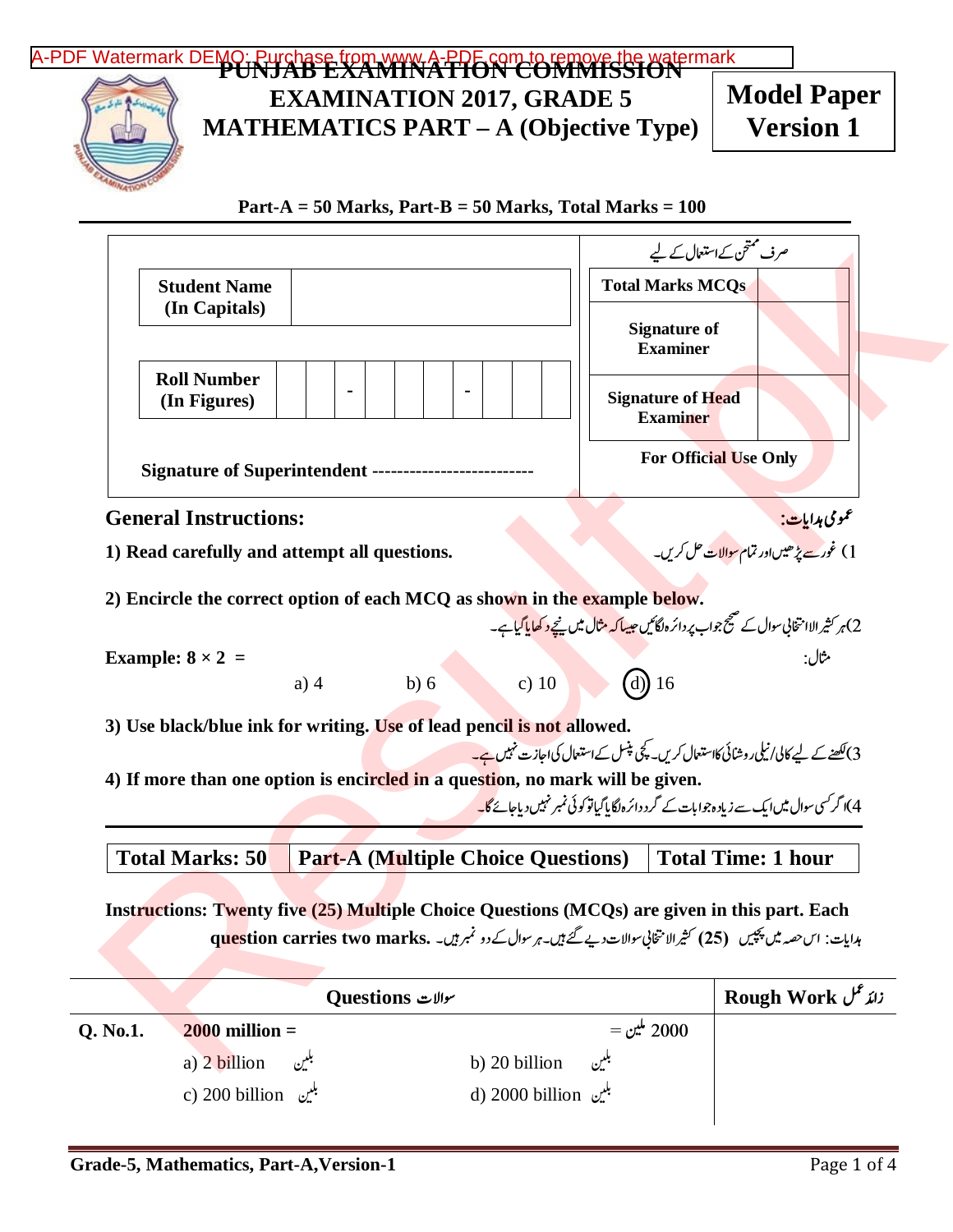## [A-PDF Watermark DEMO: Purchase from www.A-PDF.com to remove the watermark](http://www.a-pdf.com/?wm-demo)<br>PUNJAB EXAMINATION COMMISSION **EXAMINATION 2017, GRADE 5 MATHEMATICS PART – A (Objective Type) Part-A = 50 Marks, Part-B = 50 Marks, Total Marks = 100 Student Name (In Capitals) Roll Number (In Figures) - - Signature of Superintendent --------------------------**  صرف سمتحن کےاستعال کے لیے **Total Marks MCQs Signature of Examiner Signature of Head Examiner For Official Use Only General Instructions:**  عمومی ہدایا **1) Read carefully and attempt all questions.** -1) غور<u>ے پڑھیں</u>اور تمام <u>سوالات</u> حل کریں -**2) Encircle the correct option of each MCQ as shown in the example below.**  -ہر کثیر الاا متخابی سوال کے صحیح جواب پر دائرہ ֖֖֧֧֚֚֚֚֚֚֚֚֚֚֚֚֚֚֚֚֚֚֚֚֚֚֚֚֡֬֟֡֡֡֡֬֝֬֝֓֝֬ 2)ہر کثیر الاانتخابی سوال کے صحیح جواب پر دائرہ لگائیں جی<mark>سا کہ مثال میں نیچے د کھایا گیا</mark>ہے۔ **Example: 8 × 2 =** 5) a) 4 b) 6 c) 10 d) 16 **3) Use black/blue ink for writing. Use of lead pencil is not allowed.**  3) <u>لکھنے کے ل</u>یے کالی/نیکی روشائی کااستعال کریں۔ پلچی پٹسل کےاستعال کی اجازت نہیں ہے<mark>۔</mark> --**4) If more than one option is encircled in a question, no mark will be given.**  -ا گرکسی سوال میںا یک سے زیاد ہجوا بات کے گرد دائرہ لگا پاگیاتو .<br>. 4) اگر کسی سوال میں ایک سے زیاد ہ جوا بات کے گرد دائر ہاگا پاکیاتو کو ئی نمبر نہیں دیاجائے گا<mark>۔</mark> **Instructions: Twenty five (25) Multiple Choice Questions (MCQs) are given in this part. Each**  ہدایات: اس حصہ میں پچپیں (25) کثیرالا نتخابی سوالات دیے گئے ہیں۔ہر سوال کے دو نمبر ہیں۔ **que**stion carries two marks. -**Total Marks: 50 Part-A (Multiple Choice Questions) Total Time: 1 hour Model Paper Version 1**  [Result.pk](http://www.result.pk)

|          | سوالات Questions           | Rough Work <i>زائد عل</i> |  |
|----------|----------------------------|---------------------------|--|
| Q. No.1. | $2000$ million =           | $=$ 2000 ملين $=$         |  |
|          | a) 2 billion $\mathcal{L}$ | b) 20 billion<br>بلتين    |  |
|          | c) 200 billion پلیں        | d) 2000 billion بلين      |  |
|          |                            |                           |  |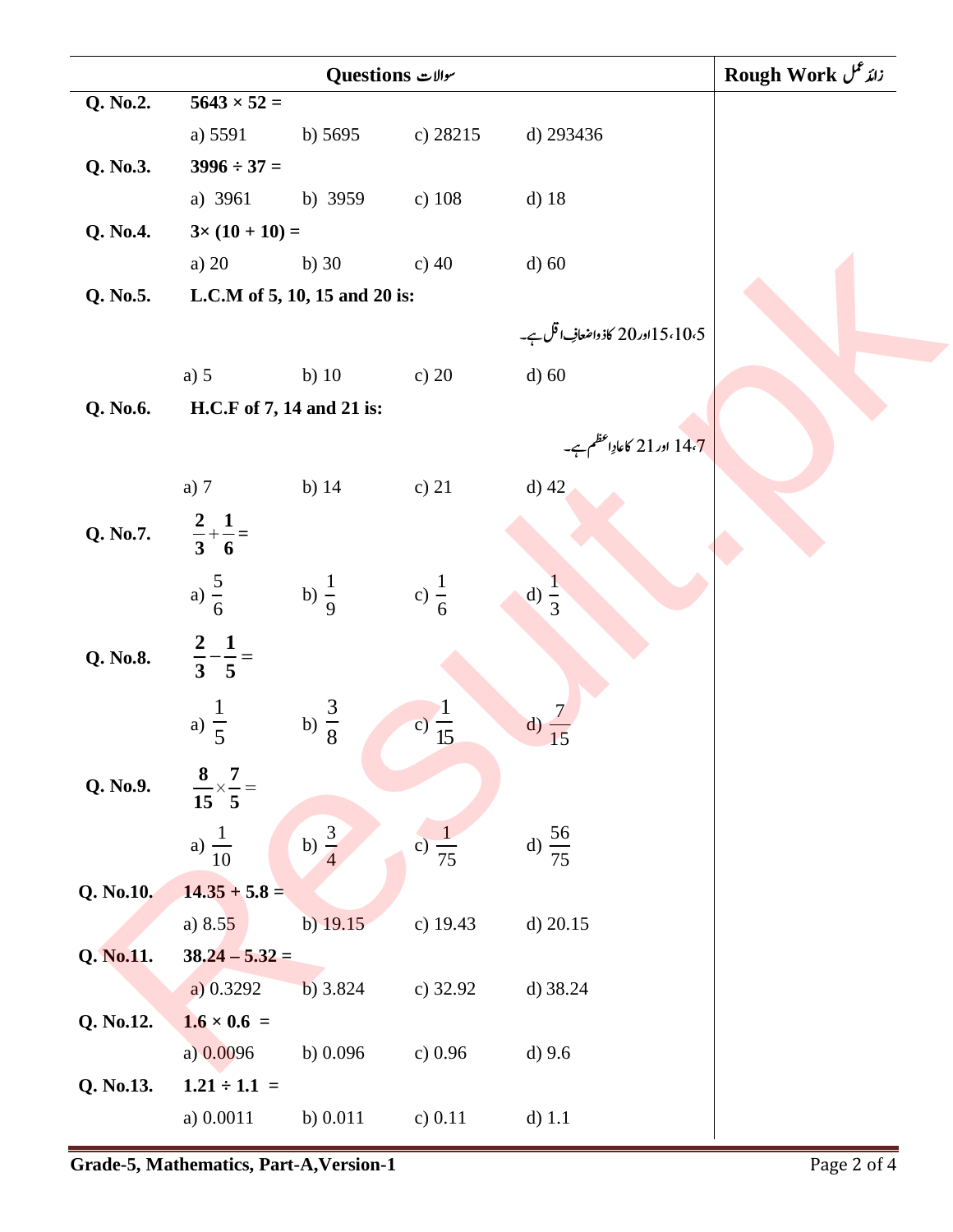| Ouestions سوالات |                                     |                               |                   |                                  | Rough Work زائد عمل |
|------------------|-------------------------------------|-------------------------------|-------------------|----------------------------------|---------------------|
| Q. No.2.         | $5643 \times 52 =$                  |                               |                   |                                  |                     |
|                  | a) 5591                             | b) $5695$                     | c) 28215          | d) 293436                        |                     |
| Q. No.3.         | $3996 \div 37 =$                    |                               |                   |                                  |                     |
|                  | a) 3961                             | b) 3959                       | c) $108$          | $d)$ 18                          |                     |
| Q. No.4.         | $3 \times (10 + 10) =$              |                               |                   |                                  |                     |
|                  | a) 20                               | b) $30$                       | c) $40$           | $d)$ 60                          |                     |
| Q. No.5.         |                                     | L.C.M of 5, 10, 15 and 20 is: |                   |                                  |                     |
|                  |                                     |                               |                   | 5،10،5 اور20 کاذ واضعافِ اقل ہے۔ |                     |
|                  | a) $5$                              | b) $10$                       | c) $20$           | $d)$ 60                          |                     |
| Q. No.6.         | H.C.F of 7, 14 and 21 is:           |                               |                   |                                  |                     |
|                  |                                     |                               |                   | 14،7 اور21 کاعادِاعظم ہے۔        |                     |
|                  | a) $7$                              | b) $14$                       | c) $21$           | $d)$ 42                          |                     |
| Q. No.7.         | $\frac{2}{3} + \frac{1}{6} =$       |                               |                   |                                  |                     |
|                  | a) $\frac{5}{6}$                    | b) $\frac{1}{9}$              | c) $\frac{1}{6}$  | d) $\frac{1}{3}$                 |                     |
| Q. No.8.         | $rac{2}{3} - \frac{1}{5} =$         |                               |                   |                                  |                     |
|                  | a) $\frac{1}{5}$                    | b) $\frac{3}{8}$              | c) $\frac{1}{15}$ | $\mathbf{d}$                     |                     |
| Q. No.9.         | $\frac{8}{15} \times \frac{7}{5} =$ |                               |                   |                                  |                     |
|                  | a) $\frac{1}{10}$                   | b) $\frac{3}{4}$              | c) $\frac{1}{75}$ | d) $\frac{56}{75}$               |                     |
| Q. No.10.        | $14.35 + 5.8 =$                     |                               |                   |                                  |                     |
|                  | a) $8.55$                           | $b)$ 19.15                    | c) 19.43          | $d)$ 20.15                       |                     |
| Q. No.11.        | $38.24 - 5.32 =$                    |                               |                   |                                  |                     |
|                  | a) 0.3292                           | b) 3.824                      | c) 32.92          | d) 38.24                         |                     |
| Q. No.12.        | $1.6 \times 0.6 =$                  |                               |                   |                                  |                     |
|                  | a) $0.0096$                         | b) $0.096$                    | c) $0.96$         | $d)$ 9.6                         |                     |
| Q. No.13.        | $1.21 \div 1.1 =$                   |                               |                   |                                  |                     |
|                  | a) 0.0011                           | b) $0.011$                    | c) $0.11$         | $d)$ 1.1                         |                     |
|                  |                                     |                               |                   |                                  |                     |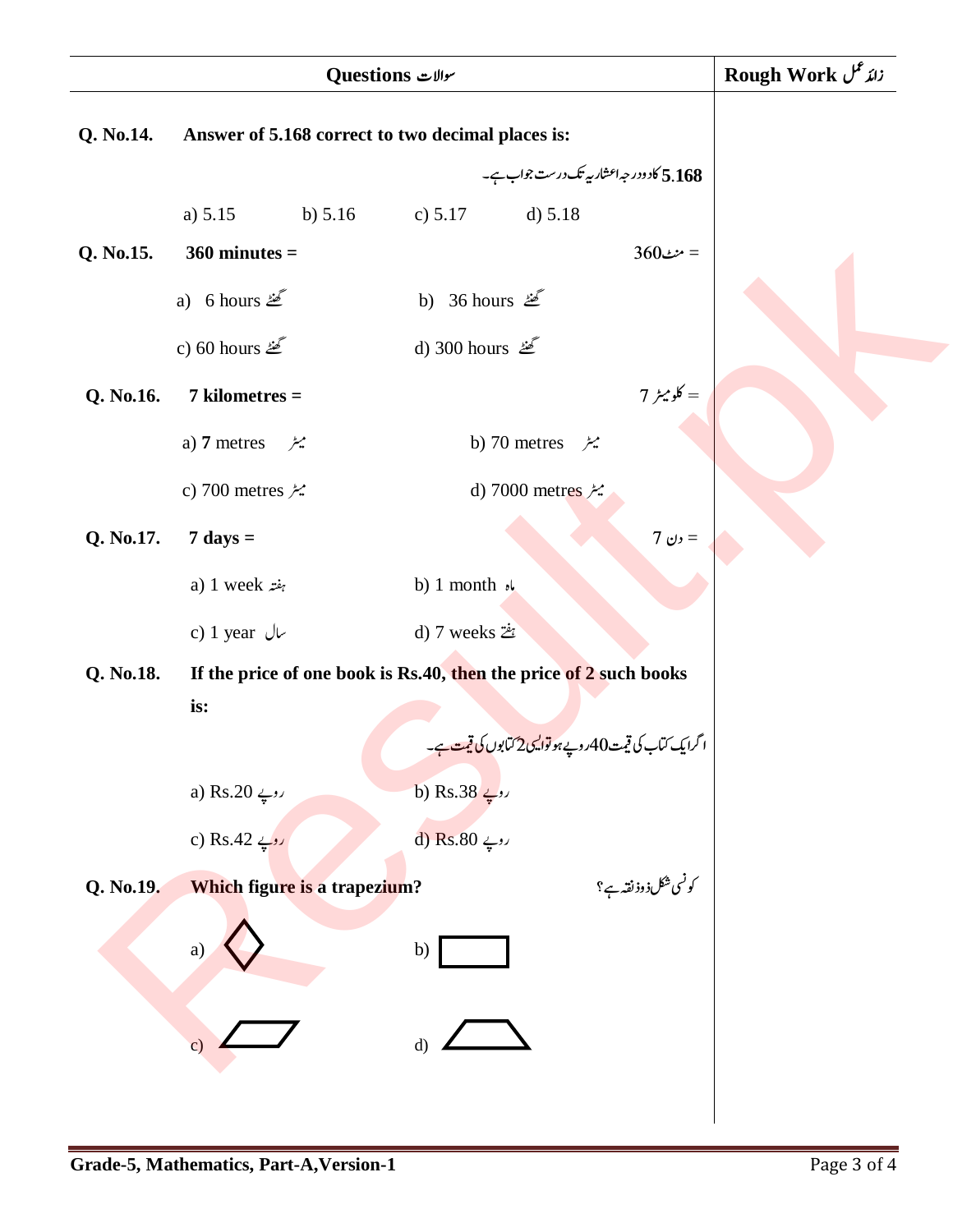|           | Ouestions سوالات                                                  | Rough Work زائد عمل                                                         |  |
|-----------|-------------------------------------------------------------------|-----------------------------------------------------------------------------|--|
| Q. No.14. | Answer of 5.168 correct to two decimal places is:                 |                                                                             |  |
|           |                                                                   | 5.168 کادودر جہ اعشار ریے تک درست جواب ہے۔                                  |  |
|           | a) $5.15$                                                         | b) $5.16$<br>c) $5.17$<br>d) 5.18                                           |  |
| Q. No.15. | $360$ minutes =                                                   | $360$ منٹ                                                                   |  |
|           | a) 6 hours $\mathbb{Z}$                                           | b) 36 hours $\mathbb{Z}$                                                    |  |
|           | c) 60 hours $\mathcal{L}$                                         | d) 300 hours ﷺ                                                              |  |
| Q. No.16. | $7$ kilometres $=$                                                | = کلومیٹر 7                                                                 |  |
|           | a) 7 metres<br>ميٹر                                               | b) 70 metres<br>ميٹر                                                        |  |
|           | c) 700 metres $\approx$                                           | d) 7000 metres                                                              |  |
| Q. No.17. | $7 \text{ days} =$                                                | 7 رن $=$                                                                    |  |
|           | a) 1 week $z^2$                                                   | b) 1 month $\sqrt{ }$                                                       |  |
|           | c) 1 year $\sqrt{ }$                                              | d) 7 weeks $2\dot{z}$                                                       |  |
| Q. No.18. | If the price of one book is Rs.40, then the price of 2 such books |                                                                             |  |
|           | is:                                                               |                                                                             |  |
|           |                                                                   | ا گرایک ٽاٻ کي قيمت90روپے <del>ہو توا<u>يمي</u> 2 ٽمايوں کي قيمت ہ</del> ے۔ |  |
|           | a) Rs.20 درپ                                                      | روپے Rs.38 (b                                                               |  |
|           | روپے Rs.42 (c                                                     | روپے Rs.80 (d                                                               |  |
| Q. No.19. | Which figure is a trapezium?                                      | کونسی شکل ذوذ نقہ ہے؟                                                       |  |
|           | a)                                                                | b)                                                                          |  |
|           | $\mathbf{c})$                                                     | d)                                                                          |  |